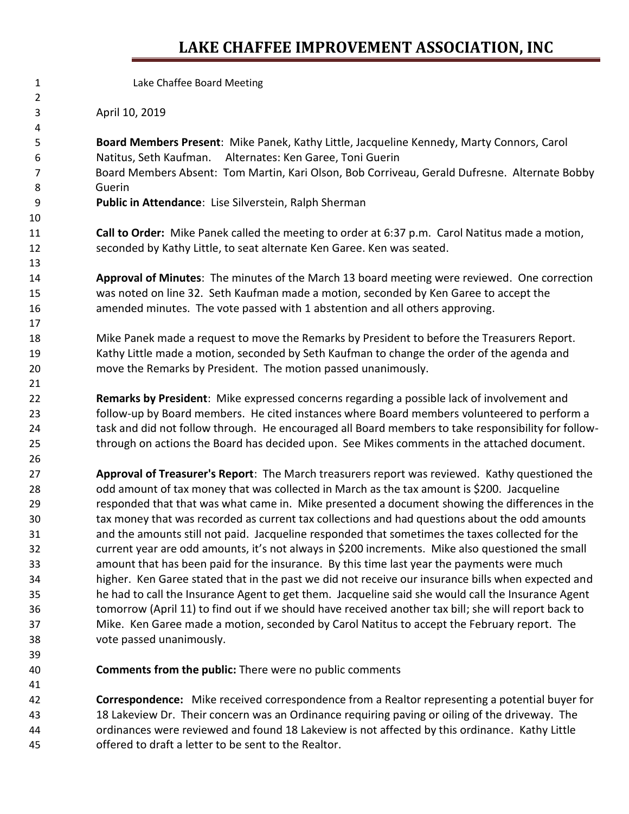## **LAKE CHAFFEE IMPROVEMENT ASSOCIATION, INC**

Lake Chaffee Board Meeting

April 10, 2019

 **Board Members Present**: Mike Panek, Kathy Little, Jacqueline Kennedy, Marty Connors, Carol Natitus, Seth Kaufman. Alternates: Ken Garee, Toni Guerin Board Members Absent: Tom Martin, Kari Olson, Bob Corriveau, Gerald Dufresne. Alternate BobbyGuerin **Public in Attendance**: Lise Silverstein, Ralph Sherman

 **Call to Order:** Mike Panek called the meeting to order at 6:37 p.m. Carol Natitus made a motion, seconded by Kathy Little, to seat alternate Ken Garee. Ken was seated.

 **Approval of Minutes**: The minutes of the March 13 board meeting were reviewed. One correction was noted on line 32. Seth Kaufman made a motion, seconded by Ken Garee to accept the amended minutes. The vote passed with 1 abstention and all others approving.

 Mike Panek made a request to move the Remarks by President to before the Treasurers Report. Kathy Little made a motion, seconded by Seth Kaufman to change the order of the agenda and move the Remarks by President. The motion passed unanimously.

 **Remarks by President**: Mike expressed concerns regarding a possible lack of involvement and follow-up by Board members. He cited instances where Board members volunteered to perform a task and did not follow through. He encouraged all Board members to take responsibility for follow-through on actions the Board has decided upon. See Mikes comments in the attached document.

 **Approval of Treasurer's Report**: The March treasurers report was reviewed. Kathy questioned the odd amount of tax money that was collected in March as the tax amount is \$200. Jacqueline responded that that was what came in. Mike presented a document showing the differences in the tax money that was recorded as current tax collections and had questions about the odd amounts and the amounts still not paid. Jacqueline responded that sometimes the taxes collected for the current year are odd amounts, it's not always in \$200 increments. Mike also questioned the small amount that has been paid for the insurance. By this time last year the payments were much higher. Ken Garee stated that in the past we did not receive our insurance bills when expected and he had to call the Insurance Agent to get them. Jacqueline said she would call the Insurance Agent tomorrow (April 11) to find out if we should have received another tax bill; she will report back to Mike. Ken Garee made a motion, seconded by Carol Natitus to accept the February report. The vote passed unanimously.

**Comments from the public:** There were no public comments

 **Correspondence:** Mike received correspondence from a Realtor representing a potential buyer for 18 Lakeview Dr. Their concern was an Ordinance requiring paving or oiling of the driveway. The ordinances were reviewed and found 18 Lakeview is not affected by this ordinance. Kathy Little offered to draft a letter to be sent to the Realtor.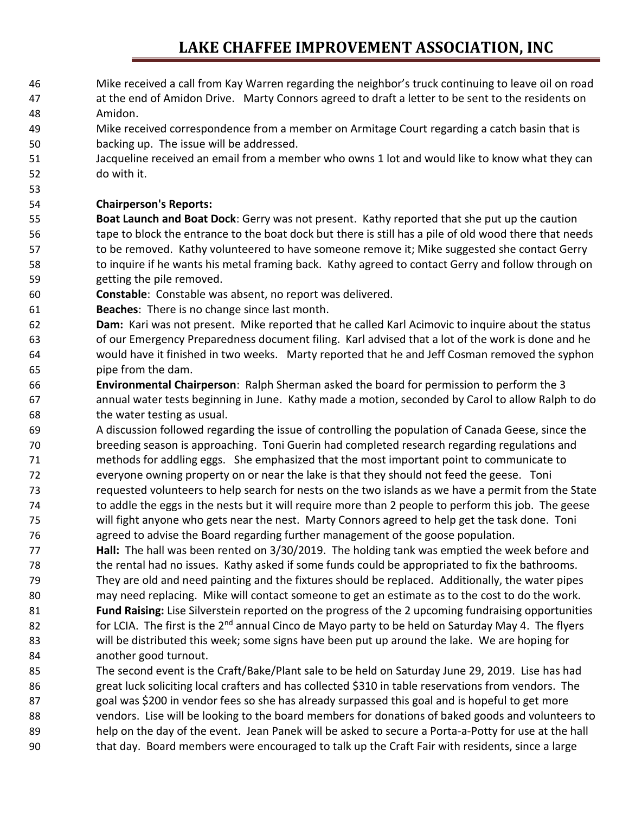## **LAKE CHAFFEE IMPROVEMENT ASSOCIATION, INC**

- Mike received a call from Kay Warren regarding the neighbor's truck continuing to leave oil on road
- at the end of Amidon Drive. Marty Connors agreed to draft a letter to be sent to the residents on Amidon.
- Mike received correspondence from a member on Armitage Court regarding a catch basin that is backing up. The issue will be addressed.
- Jacqueline received an email from a member who owns 1 lot and would like to know what they can do with it.

### **Chairperson's Reports:**

 **Boat Launch and Boat Dock**: Gerry was not present. Kathy reported that she put up the caution tape to block the entrance to the boat dock but there is still has a pile of old wood there that needs to be removed. Kathy volunteered to have someone remove it; Mike suggested she contact Gerry 58 to inquire if he wants his metal framing back. Kathy agreed to contact Gerry and follow through on getting the pile removed.

- **Constable**: Constable was absent, no report was delivered.
- **Beaches**: There is no change since last month.
- **Dam:** Kari was not present. Mike reported that he called Karl Acimovic to inquire about the status of our Emergency Preparedness document filing. Karl advised that a lot of the work is done and he would have it finished in two weeks. Marty reported that he and Jeff Cosman removed the syphon pipe from the dam.
- **Environmental Chairperson**: Ralph Sherman asked the board for permission to perform the 3 annual water tests beginning in June. Kathy made a motion, seconded by Carol to allow Ralph to do the water testing as usual.
- A discussion followed regarding the issue of controlling the population of Canada Geese, since the breeding season is approaching. Toni Guerin had completed research regarding regulations and methods for addling eggs. She emphasized that the most important point to communicate to everyone owning property on or near the lake is that they should not feed the geese. Toni requested volunteers to help search for nests on the two islands as we have a permit from the State to addle the eggs in the nests but it will require more than 2 people to perform this job. The geese will fight anyone who gets near the nest. Marty Connors agreed to help get the task done. Toni agreed to advise the Board regarding further management of the goose population.
- **Hall:** The hall was been rented on 3/30/2019. The holding tank was emptied the week before and the rental had no issues. Kathy asked if some funds could be appropriated to fix the bathrooms. They are old and need painting and the fixtures should be replaced. Additionally, the water pipes may need replacing. Mike will contact someone to get an estimate as to the cost to do the work. **Fund Raising:** Lise Silverstein reported on the progress of the 2 upcoming fundraising opportunities 82 for LCIA. The first is the  $2^{nd}$  annual Cinco de Mayo party to be held on Saturday May 4. The flyers will be distributed this week; some signs have been put up around the lake. We are hoping for another good turnout.
- The second event is the Craft/Bake/Plant sale to be held on Saturday June 29, 2019. Lise has had great luck soliciting local crafters and has collected \$310 in table reservations from vendors. The goal was \$200 in vendor fees so she has already surpassed this goal and is hopeful to get more vendors. Lise will be looking to the board members for donations of baked goods and volunteers to help on the day of the event. Jean Panek will be asked to secure a Porta-a-Potty for use at the hall that day. Board members were encouraged to talk up the Craft Fair with residents, since a large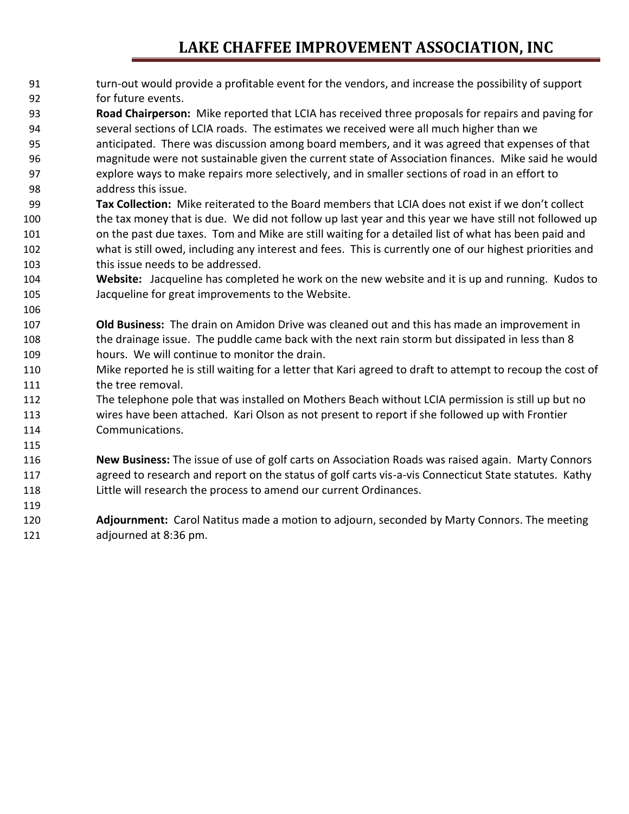## **LAKE CHAFFEE IMPROVEMENT ASSOCIATION, INC**

- turn-out would provide a profitable event for the vendors, and increase the possibility of support for future events.
- **Road Chairperson:** Mike reported that LCIA has received three proposals for repairs and paving for several sections of LCIA roads. The estimates we received were all much higher than we
- anticipated. There was discussion among board members, and it was agreed that expenses of that magnitude were not sustainable given the current state of Association finances. Mike said he would explore ways to make repairs more selectively, and in smaller sections of road in an effort to address this issue.
- **Tax Collection:** Mike reiterated to the Board members that LCIA does not exist if we don't collect 100 the tax money that is due. We did not follow up last year and this year we have still not followed up on the past due taxes. Tom and Mike are still waiting for a detailed list of what has been paid and what is still owed, including any interest and fees. This is currently one of our highest priorities and this issue needs to be addressed.
- **Website:** Jacqueline has completed he work on the new website and it is up and running. Kudos to Jacqueline for great improvements to the Website.
- **Old Business:** The drain on Amidon Drive was cleaned out and this has made an improvement in 108 the drainage issue. The puddle came back with the next rain storm but dissipated in less than 8 hours. We will continue to monitor the drain.

- Mike reported he is still waiting for a letter that Kari agreed to draft to attempt to recoup the cost of 111 the tree removal.
- The telephone pole that was installed on Mothers Beach without LCIA permission is still up but no wires have been attached. Kari Olson as not present to report if she followed up with Frontier Communications.
- **New Business:** The issue of use of golf carts on Association Roads was raised again. Marty Connors agreed to research and report on the status of golf carts vis-a-vis Connecticut State statutes. Kathy Little will research the process to amend our current Ordinances.
- **Adjournment:** Carol Natitus made a motion to adjourn, seconded by Marty Connors. The meeting adjourned at 8:36 pm.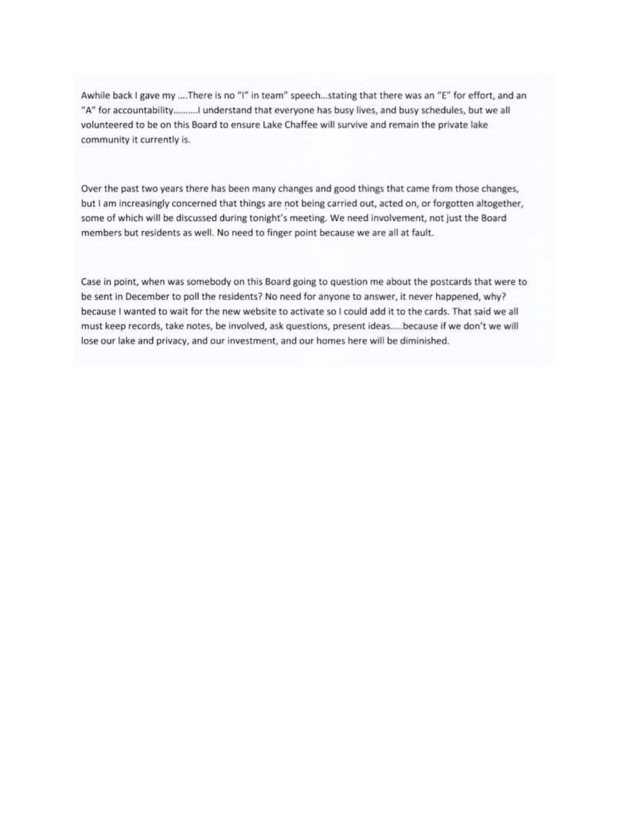Awhile back I gave my ....There is no "I" in team" speech...stating that there was an "E" for effort, and an "A" for accountability...........I understand that everyone has busy lives, and busy schedules, but we all volunteered to be on this Board to ensure Lake Chaffee will survive and remain the private lake community it currently is.

Over the past two years there has been many changes and good things that came from those changes, but I am increasingly concerned that things are not being carried out, acted on, or forgotten altogether, some of which will be discussed during tonight's meeting. We need involvement, not just the Board members but residents as well. No need to finger point because we are all at fault.

Case in point, when was somebody on this Board going to question me about the postcards that were to be sent in December to poll the residents? No need for anyone to answer, it never happened, why? because I wanted to wait for the new website to activate so I could add it to the cards. That said we all must keep records, take notes, be involved, ask questions, present ideas.....because if we don't we will lose our lake and privacy, and our investment, and our homes here will be diminished.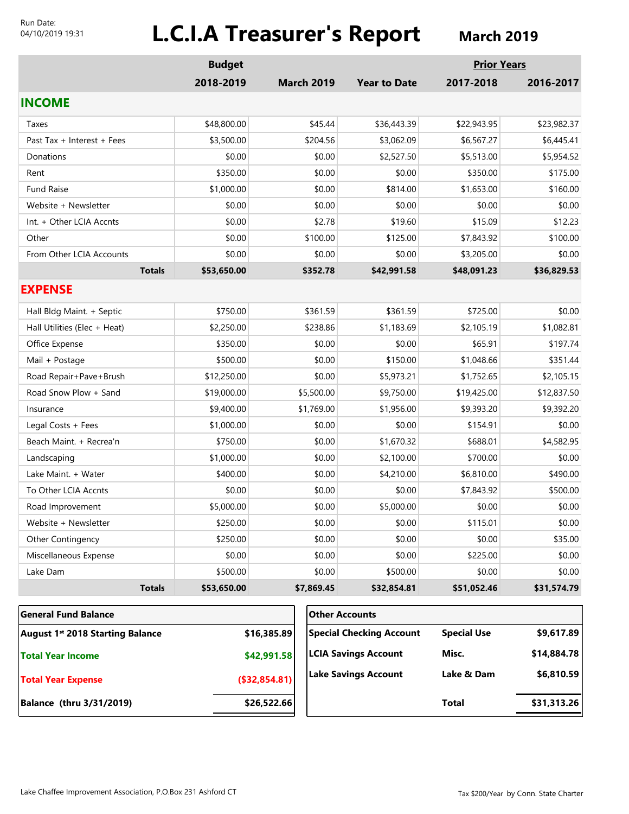#### Run Date: 04/10/2019 19:31

# **L.C.I.A Treasurer's Report March 2019**

|                                                             | <b>Budget</b> |                   |                                 | <b>Prior Years</b> |             |
|-------------------------------------------------------------|---------------|-------------------|---------------------------------|--------------------|-------------|
|                                                             | 2018-2019     | <b>March 2019</b> | <b>Year to Date</b>             | 2017-2018          | 2016-2017   |
| <b>INCOME</b>                                               |               |                   |                                 |                    |             |
| Taxes                                                       | \$48,800.00   | \$45.44           | \$36,443.39                     | \$22,943.95        | \$23,982.37 |
| Past Tax + Interest + Fees                                  | \$3,500.00    | \$204.56          | \$3,062.09                      | \$6,567.27         | \$6,445.41  |
| Donations                                                   | \$0.00        | \$0.00            | \$2,527.50                      | \$5,513.00         | \$5,954.52  |
| Rent                                                        | \$350.00      | \$0.00            | \$0.00                          | \$350.00           | \$175.00    |
| <b>Fund Raise</b>                                           | \$1,000.00    | \$0.00            | \$814.00                        | \$1,653.00         | \$160.00    |
| Website + Newsletter                                        | \$0.00        | \$0.00            | \$0.00                          | \$0.00             | \$0.00      |
| Int. + Other LCIA Accnts                                    | \$0.00        | \$2.78            | \$19.60                         | \$15.09            | \$12.23     |
| Other                                                       | \$0.00        | \$100.00          | \$125.00                        | \$7,843.92         | \$100.00    |
| From Other LCIA Accounts                                    | \$0.00        | \$0.00            | \$0.00                          | \$3,205.00         | \$0.00      |
| <b>Totals</b>                                               | \$53,650.00   | \$352.78          | \$42,991.58                     | \$48,091.23        | \$36,829.53 |
| <b>EXPENSE</b>                                              |               |                   |                                 |                    |             |
| Hall Bldg Maint. + Septic                                   | \$750.00      | \$361.59          | \$361.59                        | \$725.00           | \$0.00      |
| Hall Utilities (Elec + Heat)                                | \$2,250.00    | \$238.86          | \$1,183.69                      | \$2,105.19         | \$1,082.81  |
| Office Expense                                              | \$350.00      | \$0.00            | \$0.00                          | \$65.91            | \$197.74    |
| Mail + Postage                                              | \$500.00      | \$0.00            | \$150.00                        | \$1,048.66         | \$351.44    |
| Road Repair+Pave+Brush                                      | \$12,250.00   | \$0.00            | \$5,973.21                      | \$1,752.65         | \$2,105.15  |
| Road Snow Plow + Sand                                       | \$19,000.00   | \$5,500.00        | \$9,750.00                      | \$19,425.00        | \$12,837.50 |
| Insurance                                                   | \$9,400.00    | \$1,769.00        | \$1,956.00                      | \$9,393.20         | \$9,392.20  |
| Legal Costs + Fees                                          | \$1,000.00    | \$0.00            | \$0.00                          | \$154.91           | \$0.00      |
| Beach Maint. + Recrea'n                                     | \$750.00      | \$0.00            | \$1,670.32                      | \$688.01           | \$4,582.95  |
| Landscaping                                                 | \$1,000.00    | \$0.00            | \$2,100.00                      | \$700.00           | \$0.00      |
| Lake Maint. + Water                                         | \$400.00      | \$0.00            | \$4,210.00                      | \$6,810.00         | \$490.00    |
| To Other LCIA Accnts                                        | \$0.00        | \$0.00            | \$0.00                          | \$7,843.92         | \$500.00    |
| Road Improvement                                            | \$5,000.00    | \$0.00            | \$5,000.00                      | \$0.00             | \$0.00      |
| Website + Newsletter                                        | \$250.00      | \$0.00            | \$0.00                          | \$115.01           | \$0.00      |
| Other Contingency                                           | \$250.00      | \$0.00            | \$0.00                          | \$0.00             | \$35.00     |
| Miscellaneous Expense                                       | \$0.00        | \$0.00            | \$0.00                          | \$225.00           | \$0.00      |
| Lake Dam                                                    | \$500.00      | \$0.00            | \$500.00                        | \$0.00             | \$0.00      |
| <b>Totals</b>                                               | \$53,650.00   | \$7,869.45        | \$32,854.81                     | \$51,052.46        | \$31,574.79 |
| <b>General Fund Balance</b>                                 |               |                   | <b>Other Accounts</b>           |                    |             |
| \$16,385.89<br>August 1 <sup>st</sup> 2018 Starting Balance |               |                   | <b>Special Checking Account</b> | <b>Special Use</b> | \$9,617.89  |
| <b>Total Year Income</b>                                    |               | \$42,991.58       | <b>LCIA Savings Account</b>     | Misc.              | \$14,884.78 |

**(\$32,854.81)**

**Lake Savings Account**

**Balance (thru 3/31/2019) \$26,522.66**

**Total Year Expense**

**Total \$31,313.26**

**\$6,810.59**

**Lake & Dam**